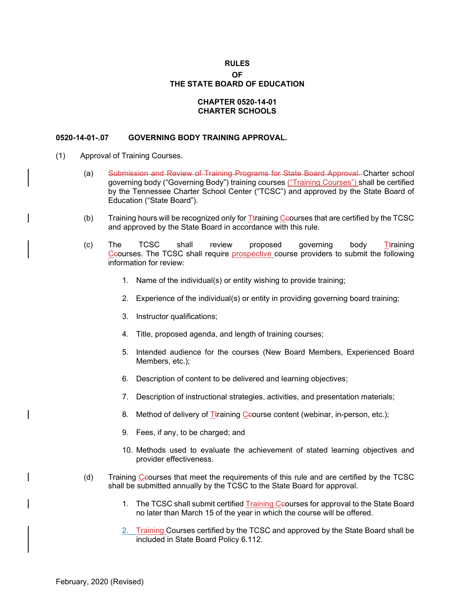## **RULES**

## **OF THE STATE BOARD OF EDUCATION**

## **CHAPTER 0520-14-01 CHARTER SCHOOLS**

## **0520-14-01-.07 GOVERNING BODY TRAINING APPROVAL.**

- (1) Approval of Training Courses.
	- (a) Submission and Review of Training Programs for State Board Approval. Charter school governing body ("Governing Body") training courses ("Training Courses") shall be certified by the Tennessee Charter School Center ("TCSC") and approved by the State Board of Education ("State Board").
	- (b) Training hours will be recognized only for  $I$ training Ceourses that are certified by the TCSC and approved by the State Board in accordance with this rule.
	- (c) The TCSC shall review proposed governing body <u>T</u>training Ccourses. The TCSC shall require prospective course providers to submit the following information for review:
		- 1. Name of the individual(s) or entity wishing to provide training;
		- 2. Experience of the individual(s) or entity in providing governing board training;
		- 3. Instructor qualifications;
		- 4. Title, proposed agenda, and length of training courses;
		- 5. Intended audience for the courses (New Board Members, Experienced Board Members, etc.);
		- 6. Description of content to be delivered and learning objectives;
		- 7. Description of instructional strategies, activities, and presentation materials;
		- 8. Method of delivery of Ttraining Ceourse content (webinar, in-person, etc.);
		- 9. Fees, if any, to be charged; and
		- 10. Methods used to evaluate the achievement of stated learning objectives and provider effectiveness.
	- (d) Training Ccourses that meet the requirements of this rule and are certified by the TCSC shall be submitted annually by the TCSC to the State Board for approval.
		- 1. The TCSC shall submit certified Training Ceourses for approval to the State Board no later than March 15 of the year in which the course will be offered.
		- 2. Training Courses certified by the TCSC and approved by the State Board shall be included in State Board Policy 6.112.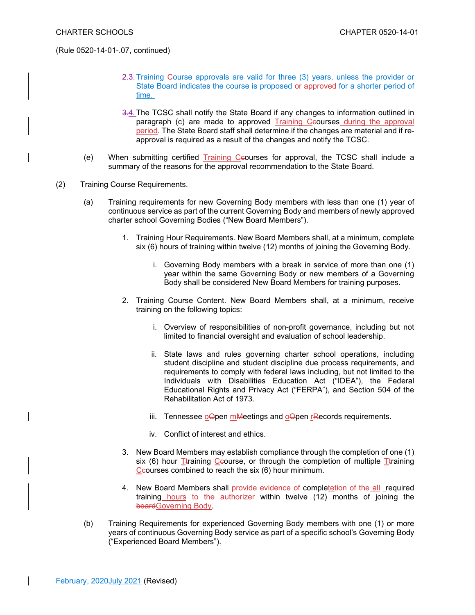(Rule 0520-14-01-.07, continued)

- 2.3.Training Course approvals are valid for three (3) years, unless the provider or State Board indicates the course is proposed or approved for a shorter period of time.
- 3.4.The TCSC shall notify the State Board if any changes to information outlined in paragraph (c) are made to approved Training Ceourses during the approval period. The State Board staff shall determine if the changes are material and if reapproval is required as a result of the changes and notify the TCSC.
- (e) When submitting certified Training Ccourses for approval, the TCSC shall include a summary of the reasons for the approval recommendation to the State Board.
- (2) Training Course Requirements.
	- (a) Training requirements for new Governing Body members with less than one (1) year of continuous service as part of the current Governing Body and members of newly approved charter school Governing Bodies ("New Board Members").
		- 1. Training Hour Requirements. New Board Members shall, at a minimum, complete six (6) hours of training within twelve (12) months of joining the Governing Body.
			- i. Governing Body members with a break in service of more than one (1) year within the same Governing Body or new members of a Governing Body shall be considered New Board Members for training purposes.
		- 2. Training Course Content. New Board Members shall, at a minimum, receive training on the following topics:
			- i. Overview of responsibilities of non-profit governance, including but not limited to financial oversight and evaluation of school leadership.
			- ii. State laws and rules governing charter school operations, including student discipline and student discipline due process requirements, and requirements to comply with federal laws including, but not limited to the Individuals with Disabilities Education Act ("IDEA"), the Federal Educational Rights and Privacy Act ("FERPA"), and Section 504 of the Rehabilitation Act of 1973.
			- iii. Tennessee  $o\Theta$  pen mMeetings and  $o\Theta$  pen rRecords requirements.
			- iv. Conflict of interest and ethics.
		- 3. New Board Members may establish compliance through the completion of one (1) six (6) hour Ttraining Ceourse, or through the completion of multiple Ttraining Ceourses combined to reach the six  $(6)$  hour minimum.
		- 4. New Board Members shall provide evidence of completetion of the all- required training hours to the authorizer within twelve (12) months of joining the boardGoverning Body.
	- (b) Training Requirements for experienced Governing Body members with one (1) or more years of continuous Governing Body service as part of a specific school's Governing Body ("Experienced Board Members").